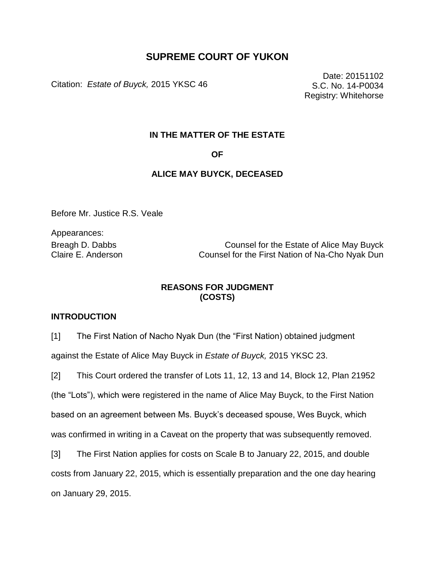# **SUPREME COURT OF YUKON**

Citation: *Estate of Buyck,* 2015 YKSC 46

Date: 20151102 S.C. No. 14-P0034 Registry: Whitehorse

#### **IN THE MATTER OF THE ESTATE**

**OF**

#### **ALICE MAY BUYCK, DECEASED**

Before Mr. Justice R.S. Veale

Appearances:

Breagh D. Dabbs Counsel for the Estate of Alice May Buyck Claire E. Anderson Counsel for the First Nation of Na-Cho Nyak Dun

### **REASONS FOR JUDGMENT (COSTS)**

#### **INTRODUCTION**

[1] The First Nation of Nacho Nyak Dun (the "First Nation) obtained judgment against the Estate of Alice May Buyck in *Estate of Buyck,* 2015 YKSC 23.

[2] This Court ordered the transfer of Lots 11, 12, 13 and 14, Block 12, Plan 21952 (the "Lots"), which were registered in the name of Alice May Buyck, to the First Nation based on an agreement between Ms. Buyck's deceased spouse, Wes Buyck, which was confirmed in writing in a Caveat on the property that was subsequently removed.

[3] The First Nation applies for costs on Scale B to January 22, 2015, and double costs from January 22, 2015, which is essentially preparation and the one day hearing on January 29, 2015.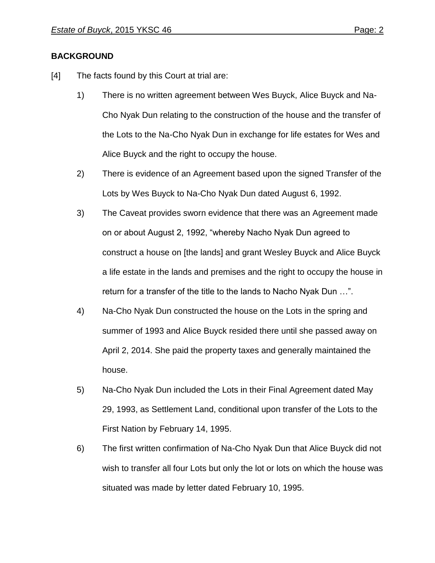## **BACKGROUND**

- [4] The facts found by this Court at trial are:
	- 1) There is no written agreement between Wes Buyck, Alice Buyck and Na-Cho Nyak Dun relating to the construction of the house and the transfer of the Lots to the Na-Cho Nyak Dun in exchange for life estates for Wes and Alice Buyck and the right to occupy the house.
	- 2) There is evidence of an Agreement based upon the signed Transfer of the Lots by Wes Buyck to Na-Cho Nyak Dun dated August 6, 1992.
	- 3) The Caveat provides sworn evidence that there was an Agreement made on or about August 2, 1992, "whereby Nacho Nyak Dun agreed to construct a house on [the lands] and grant Wesley Buyck and Alice Buyck a life estate in the lands and premises and the right to occupy the house in return for a transfer of the title to the lands to Nacho Nyak Dun …".
	- 4) Na-Cho Nyak Dun constructed the house on the Lots in the spring and summer of 1993 and Alice Buyck resided there until she passed away on April 2, 2014. She paid the property taxes and generally maintained the house.
	- 5) Na-Cho Nyak Dun included the Lots in their Final Agreement dated May 29, 1993, as Settlement Land, conditional upon transfer of the Lots to the First Nation by February 14, 1995.
	- 6) The first written confirmation of Na-Cho Nyak Dun that Alice Buyck did not wish to transfer all four Lots but only the lot or lots on which the house was situated was made by letter dated February 10, 1995.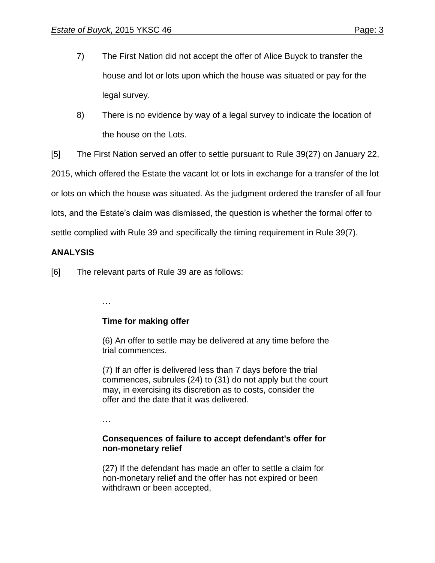- 7) The First Nation did not accept the offer of Alice Buyck to transfer the house and lot or lots upon which the house was situated or pay for the legal survey.
- 8) There is no evidence by way of a legal survey to indicate the location of the house on the Lots.
- [5] The First Nation served an offer to settle pursuant to Rule 39(27) on January 22,

2015, which offered the Estate the vacant lot or lots in exchange for a transfer of the lot

or lots on which the house was situated. As the judgment ordered the transfer of all four

lots, and the Estate's claim was dismissed, the question is whether the formal offer to

settle complied with Rule 39 and specifically the timing requirement in Rule 39(7).

# **ANALYSIS**

[6] The relevant parts of Rule 39 are as follows:

**Time for making offer** 

(6) An offer to settle may be delivered at any time before the trial commences.

(7) If an offer is delivered less than 7 days before the trial commences, subrules (24) to (31) do not apply but the court may, in exercising its discretion as to costs, consider the offer and the date that it was delivered.

…

…

## **Consequences of failure to accept defendant's offer for non-monetary relief**

(27) If the defendant has made an offer to settle a claim for non-monetary relief and the offer has not expired or been withdrawn or been accepted,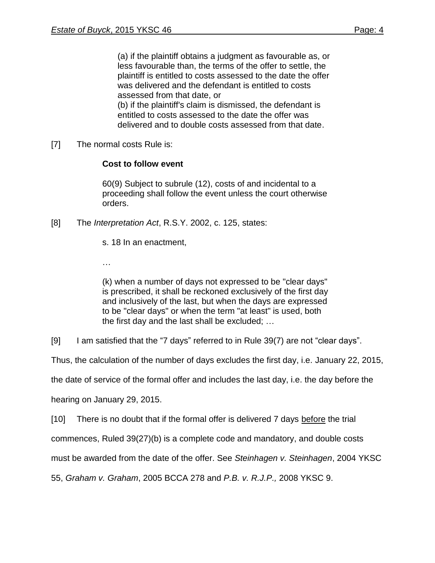(a) if the plaintiff obtains a judgment as favourable as, or less favourable than, the terms of the offer to settle, the plaintiff is entitled to costs assessed to the date the offer was delivered and the defendant is entitled to costs assessed from that date, or (b) if the plaintiff's claim is dismissed, the defendant is entitled to costs assessed to the date the offer was delivered and to double costs assessed from that date.

[7] The normal costs Rule is:

### **Cost to follow event**

60(9) Subject to subrule (12), costs of and incidental to a proceeding shall follow the event unless the court otherwise orders.

[8] The *Interpretation Act*, R.S.Y. 2002, c. 125, states:

s. 18 In an enactment,

…

(k) when a number of days not expressed to be "clear days" is prescribed, it shall be reckoned exclusively of the first day and inclusively of the last, but when the days are expressed to be "clear days" or when the term "at least" is used, both the first day and the last shall be excluded; …

[9] I am satisfied that the "7 days" referred to in Rule 39(7) are not "clear days".

Thus, the calculation of the number of days excludes the first day, i.e. January 22, 2015,

the date of service of the formal offer and includes the last day, i.e. the day before the

hearing on January 29, 2015.

[10] There is no doubt that if the formal offer is delivered 7 days before the trial

commences, Ruled 39(27)(b) is a complete code and mandatory, and double costs

must be awarded from the date of the offer. See *Steinhagen v. Steinhagen*, 2004 YKSC

55, *Graham v. Graham*, 2005 BCCA 278 and *P.B. v. R.J.P.,* 2008 YKSC 9.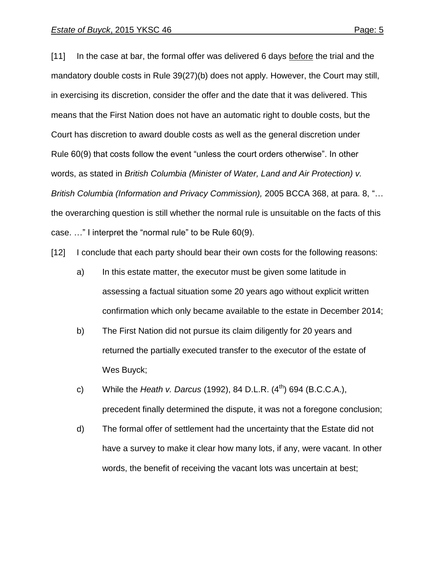[11] In the case at bar, the formal offer was delivered 6 days before the trial and the mandatory double costs in Rule 39(27)(b) does not apply. However, the Court may still, in exercising its discretion, consider the offer and the date that it was delivered. This means that the First Nation does not have an automatic right to double costs, but the Court has discretion to award double costs as well as the general discretion under Rule 60(9) that costs follow the event "unless the court orders otherwise". In other words, as stated in *British Columbia (Minister of Water, Land and Air Protection) v. British Columbia (Information and Privacy Commission),* 2005 BCCA 368, at para. 8, "… the overarching question is still whether the normal rule is unsuitable on the facts of this case. …" I interpret the "normal rule" to be Rule 60(9).

[12] I conclude that each party should bear their own costs for the following reasons:

- a) In this estate matter, the executor must be given some latitude in assessing a factual situation some 20 years ago without explicit written confirmation which only became available to the estate in December 2014;
- b) The First Nation did not pursue its claim diligently for 20 years and returned the partially executed transfer to the executor of the estate of Wes Buyck;
- c) While the *Heath v. Darcus* (1992), 84 D.L.R. (4th) 694 (B.C.C.A.), precedent finally determined the dispute, it was not a foregone conclusion;
- d) The formal offer of settlement had the uncertainty that the Estate did not have a survey to make it clear how many lots, if any, were vacant. In other words, the benefit of receiving the vacant lots was uncertain at best;